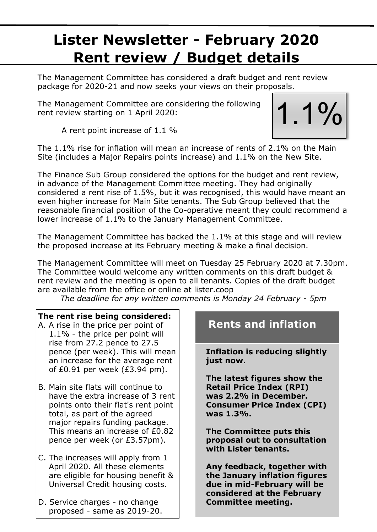# **Lister Newsletter - February 2020 Rent review / Budget details**

The Management Committee has considered a draft budget and rent review package for 2020-21 and now seeks your views on their proposals.

The Management Committee are considering the following rent review starting on 1 April 2020:



A rent point increase of 1.1 %

The 1.1% rise for inflation will mean an increase of rents of 2.1% on the Main Site (includes a Major Repairs points increase) and 1.1% on the New Site.

The Finance Sub Group considered the options for the budget and rent review, in advance of the Management Committee meeting. They had originally considered a rent rise of 1.5%, but it was recognised, this would have meant an even higher increase for Main Site tenants. The Sub Group believed that the reasonable financial position of the Co-operative meant they could recommend a lower increase of 1.1% to the January Management Committee.

The Management Committee has backed the 1.1% at this stage and will review the proposed increase at its February meeting & make a final decision.

The Management Committee will meet on Tuesday 25 February 2020 at 7.30pm. The Committee would welcome any written comments on this draft budget & rent review and the meeting is open to all tenants. Copies of the draft budget are available from the office or online at lister.coop

*The deadline for any written comments is Monday 24 February - 5pm*

### **The rent rise being considered:**

- A. A rise in the price per point of 1.1% - the price per point will rise from 27.2 pence to 27.5 pence (per week). This will mean an increase for the average rent of £0.91 per week (£3.94 pm).
- B. Main site flats will continue to have the extra increase of 3 rent points onto their flat's rent point total, as part of the agreed major repairs funding package. This means an increase of £0.82 pence per week (or £3.57pm).
- C. The increases will apply from 1 April 2020. All these elements are eligible for housing benefit & Universal Credit housing costs.
- D. Service charges no change proposed - same as 2019-20.

# **Rents and inflation**

**Inflation is reducing slightly just now.**

**The latest figures show the Retail Price Index (RPI) was 2.2% in December. Consumer Price Index (CPI) was 1.3%.**

**The Committee puts this proposal out to consultation with Lister tenants.** 

**Any feedback, together with the January inflation figures due in mid-February will be considered at the February Committee meeting.**